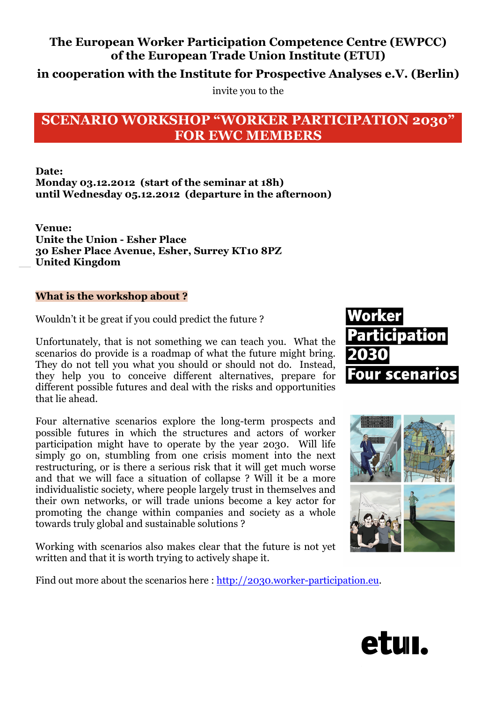## **The European Worker Participation Competence Centre (EWPCC) of the European Trade Union Institute (ETUI)**

**in cooperation with the Institute for Prospective Analyses e.V. (Berlin)**

invite you to the

# **SCENARIO WORKSHOP "WORKER PARTICIPATION 2030" FOR EWC MEMBERS**

## **Date: Monday 03.12.2012 (start of the seminar at 18h) until Wednesday 05.12.2012 (departure in the afternoon)**

**Venue: Unite the Union - Esher Place 30 Esher Place Avenue, Esher, Surrey KT10 8PZ United Kingdom**

## **What is the workshop about ?**

Wouldn't it be great if you could predict the future ?

Unfortunately, that is not something we can teach you. What the scenarios do provide is a roadmap of what the future might bring. They do not tell you what you should or should not do. Instead, they help you to conceive different alternatives, prepare for different possible futures and deal with the risks and opportunities that lie ahead.

Four alternative scenarios explore the long-term prospects and possible futures in which the structures and actors of worker participation might have to operate by the year 2030. Will life simply go on, stumbling from one crisis moment into the next restructuring, or is there a serious risk that it will get much worse and that we will face a situation of collapse ? Will it be a more individualistic society, where people largely trust in themselves and their own networks, or will trade unions become a key actor for promoting the change within companies and society as a whole towards truly global and sustainable solutions ?

Working with scenarios also makes clear that the future is not yet written and that it is worth trying to actively shape it.





Find out more about the scenarios here : http://2030.worker-participation.eu.